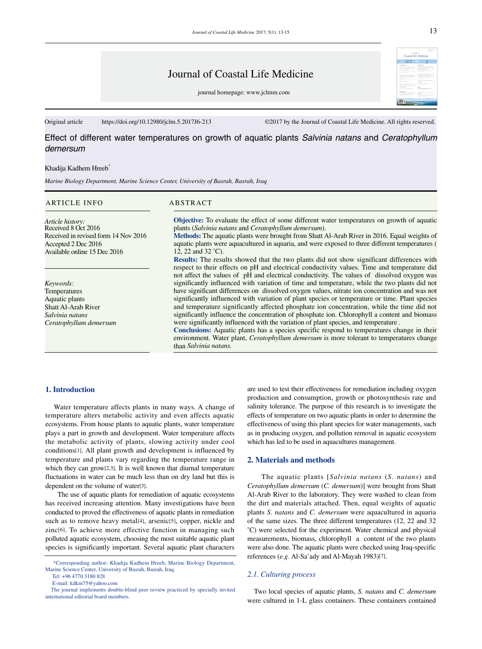journal homepage: www.jclmm.com

Original article https://doi.org/10.12980/jclm.5.2017J6-213 ©2017 by the Journal of Coastal Life Medicine. All rights reserved.

Effect of different water temperatures on growth of aquatic plants *Salvinia natans* and *Ceratophyllum demersum*

#### Khadija Kadhem Hreeb<sup>\*</sup>

*Marine Biology Department, Marine Science Center, University of Basrah, Basrah, Iraq*

#### ARTICLE INFO ABSTRACT

*Article history:* Received 8 Oct 2016 Received in revised form 14 Nov 2016 Accepted 2 Dec 2016 Available online 15 Dec 2016

*Keywords:* **Temperatures** Aquatic plants Shatt Al-Arab River *Salvinia natans Ceratophyllum demersum*

**Objective:** To evaluate the effect of some different water temperatures on growth of aquatic plants (*Salvinia natans* and *Ceratophyllum demersum*).

**Methods:** The aquatic plants were brought from Shatt Al-Arab River in 2016. Equal weights of aquatic plants were aquacultured in aquaria, and were exposed to three different temperatures ( 12, 22 and 32 °C).

**Results:** The results showed that the two plants did not show significant differences with respect to their effects on pH and electrical conductivity values. Time and temperature did not affect the values of pH and electrical conductivity. The values of dissolved oxygen was significantly influenced with variation of time and temperature, while the two plants did not have significant differences on dissolved oxygen values, nitrate ion concentration and was not significantly influenced with variation of plant species or temperature or time. Plant species and temperature significantly affected phosphate ion concentration, while the time did not significantly influence the concentration of phosphate ion. Chlorophyll a content and biomass were significantly influenced with the variation of plant species, and temperature .

Conclusions: Aquatic plants has a species specific respond to temperatures change in their environment. Water plant, *Ceratophyllum demersum* is more tolerant to temperatures change than *Salvinia natans.*

## **1. Introduction**

 Water temperature affects plants in many ways. A change of temperature alters metabolic activity and even affects aquatic ecosystems. From house plants to aquatic plants, water temperature plays a part in growth and development. Water temperature affects the metabolic activity of plants, slowing activity under cool conditions[1]. All plant growth and development is influenced by temperature and plants vary regarding the temperature range in which they can grow<sup>[2,3]</sup>. It is well known that diurnal temperature fluctuations in water can be much less than on dry land but this is dependent on the volume of water[3].

 The use of aquatic plants for remediation of aquatic ecosystems has received increasing attention. Many investigations have been conducted to proved the effectiveness of aquatic plants in remediation such as to remove heavy metal[4], arsenic[5], copper, nickle and zinc[6]. To achieve more effective function in managing such polluted aquatic ecosystem, choosing the most suitable aquatic plant species is significantly important. Several aquatic plant characters

E-mail: kdkm75@yahoo.com

are used to test their effectiveness for remediation including oxygen production and consumption, growth or photosynthesis rate and salinity tolerance. The purpose of this research is to investigate the effects of temperature on two aquatic plants in order to determine the effectiveness of using this plant species for water managements, such as in producing oxygen, and pollution removal in aquatic ecosystem which has led to be used in aquacultures management.

## **2. Materials and methods**

 The aquatic plants [*Salvinia natans* (*S. natans*) and *Ceratophyllum demersum* (*C. demersum*)] were brought from Shatt Al-Arab River to the laboratory. They were washed to clean from the dirt and materials attached. Then, equal weights of aquatic plants *S. natans* and *C. demersum* were aquacultured in aquaria of the same sizes. The three different temperatures (12, 22 and 32 °C) were selected for the experiment. Water chemical and physical measurements, biomass, chlorophyll a content of the two plants were also done. The aquatic plants were checked using Iraq-specific references (*e.g.* Al-Sa'ady and Al-Mayah 1983)[7].

## *2.1. Culturing process*

 Two local species of aquatic plants, *S. natans* and *C. demersum* were cultured in 1-L glass containers. These containers contained

13

 <sup>\*</sup>Corresponding author: Khadija Kadhem Hreeb, Marine Biology Department, Marine Science Center, University of Basrah, Basrah, Iraq.

Tel: +96 4770 3180 828

The journal implements double-blind peer review practiced by specially invited international editorial board members.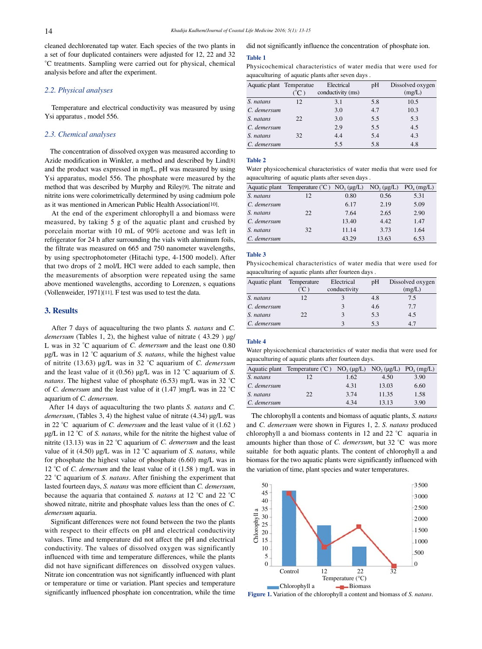cleaned dechlorenated tap water. Each species of the two plants in a set of four duplicated containers were adjusted for 12, 22 and 32 °C treatments. Sampling were carried out for physical, chemical analysis before and after the experiment.

## *2.2. Physical analyses*

 Temperature and electrical conductivity was measured by using Ysi apparatus , model 556.

# *2.3. Chemical analyses*

 The concentration of dissolved oxygen was measured according to Azide modification in Winkler, a method and described by Lind[8] and the product was expressed in mg/L, pH was measured by using Ysi apparatus, model 556. The phosphate were measured by the method that was described by Murphy and Riley[9]. The nitrate and nitrite ions were colorimetrically determined by using cadmium pole as it was mentioned in American Public Health Association[10].

 At the end of the experiment chlorophyll a and biomass were measured, by taking 5 g of the aquatic plant and crushed by porcelain mortar with 10 mL of 90% acetone and was left in refrigerator for 24 h after surrounding the vials with aluminum foils, the filtrate was measured on 665 and 750 nanometer wavelengths, by using spectrophotometer (Hitachi type, 4-1500 model). After that two drops of 2 mol/L HCl were added to each sample, then the measurements of absorption were repeated using the same above mentioned wavelengths, according to Lorenzen, s equations (Vollenweider, 1971)[11]. F test was used to test the data.

## **3. Results**

 After 7 days of aquaculturing the two plants *S. natans* and *C. demersum* (Tables 1, 2), the highest value of nitrate (43.29) µg/ L was in 32 °C aquarium of *C. demersum* and the least one 0.80 μg/L was in 12 °C aquarium of *S. natans*, while the highest value of nitrite (13.63) µg/L was in 32 °C aquarium of *C. demersum* and the least value of it (0.56) µg/L was in 12 °C aquarium of *S. natans*. The highest value of phosphate (6.53) mg/L was in 32 °C of *C. demersum* and the least value of it (1.47 )mg/L was in 22 °C aquarium of *C. demersum*.

 After 14 days of aquaculturing the two plants *S. natans* and *C. demersum*, (Tables 3, 4) the highest value of nitrate (4.34) µg/L was in 22 °C aquarium of *C. demersum* and the least value of it (1.62 ) µg/L in 12 °C of *S. natans*, while for the nitrite the highest value of nitrite (13.13) was in 22 °C aquarium of *C. demersum* and the least value of it (4.50) µg/L was in 12 °C aquarium of *S. natans*, while for phosphate the highest value of phosphate (6.60) mg/L was in 12 °C of *C. demersum* and the least value of it (1.58 ) mg/L was in 22 °C aquarium of *S. natans*. After finishing the experiment that lasted fourteen days, *S. natans* was more efficient than *C. demersum*, because the aquaria that contained *S. natans* at 12 °C and 22 °C showed nitrate, nitrite and phosphate values less than the ones of *C. demersum* aquaria.

 Significant differences were not found between the two the plants with respect to their effects on pH and electrical conductivity values. Time and temperature did not affect the pH and electrical conductivity. The values of dissolved oxygen was significantly influenced with time and temperature differences, while the plants did not have significant differences on dissolved oxygen values. Nitrate ion concentration was not significantly influenced with plant or temperature or time or variation. Plant species and temperature significantly influenced phosphate ion concentration, while the time did not significantly influence the concentration of phosphate ion.

#### **Table 1**

Physicochemical characteristics of water media that were used for aquaculturing of aquatic plants after seven days .

| Aquatic plant Temperatue |                         | Electrical        | pH  | Dissolved oxygen |
|--------------------------|-------------------------|-------------------|-----|------------------|
|                          | $^{\circ}$ C $^{\circ}$ | conductivity (ms) |     | (mg/L)           |
| S. natans                | 12                      | 3.1               | 5.8 | 10.5             |
| C. demersum              |                         | 3.0               | 4.7 | 10.3             |
| S. natans                | 22                      | 3.0               | 5.5 | 5.3              |
| C. demersum              |                         | 2.9               | 5.5 | 4.5              |
| S. natans                | 32                      | 4.4               | 5.4 | 4.3              |
| C. demersum              |                         | 5.5               | 5.8 | 4.8              |

### **Table 2**

Water physicochemical characteristics of water media that were used for aquaculturing of aquatic plants after seven days .

|             | Aquatic plant Temperature $({}^{\circ}C)$ NO <sub>3</sub> ( $\mu$ g/L) |       | $NO_2(\mu g/L)$ | $PO_{4}$ (mg/L) |
|-------------|------------------------------------------------------------------------|-------|-----------------|-----------------|
| S. natans   | 12                                                                     | 0.80  | 0.56            | 5.31            |
| C. demersum |                                                                        | 6.17  | 2.19            | 5.09            |
| S. natans   | 22                                                                     | 7.64  | 2.65            | 2.90            |
| C. demersum |                                                                        | 13.40 | 4.42            | 1.47            |
| S. natans   | 32                                                                     | 11.14 | 3.73            | 1.64            |
| C. demersum |                                                                        | 43.29 | 13.63           | 6.53            |

#### **Table 3**

Physicochemical characteristics of water media that were used for aquaculturing of aquatic plants after fourteen days .

| Aquatic plant | Temperature | Electrical   | pΗ  | Dissolved oxygen |
|---------------|-------------|--------------|-----|------------------|
|               | (°C         | conductivity |     | (mg/L)           |
| S. natans     | 12          |              | 4.8 | 7.5              |
| C. demersum   |             | 3            | 4.6 | 7.7              |
| S. natans     | 22          |              | 5.3 | 4.5              |
| C. demersum   |             |              | 5.3 | 4.7              |

### **Table 4**

Water physicochemical characteristics of water media that were used for aquaculturing of aquatic plants after fourteen days.

|             | Aquatic plant Temperature $({}^{\circ}C)$ | $NO_3(\mu g/L)$ $NO_2(\mu g/L)$ $PO_4(mg/L)$ |       |      |
|-------------|-------------------------------------------|----------------------------------------------|-------|------|
| S. natans   | 12.                                       | 1.62                                         | 4.50  | 3.90 |
| C. demersum |                                           | 4.31                                         | 13.03 | 6.60 |
| S. natans   | 22                                        | 3.74                                         | 11.35 | 1.58 |
| C. demersum |                                           | 4 3 4                                        | 13 13 | 3.90 |
|             |                                           |                                              |       |      |

 The chlorophyll a contents and biomass of aquatic plants, *S. natans* and *C. demersum* were shown in Figures 1, 2. *S. natans* produced chlorophyll a and biomass contents in 12 and 22 °C aquaria in amounts higher than those of *C. demersum*, but 32 °C was more suitable for both aquatic plants. The content of chlorophyll a and biomass for the two aquatic plants were significantly influenced with the variation of time, plant species and water temperatures.



**Figure 1.** Variation of the chlorophyll a content and biomass of *S. natans*.